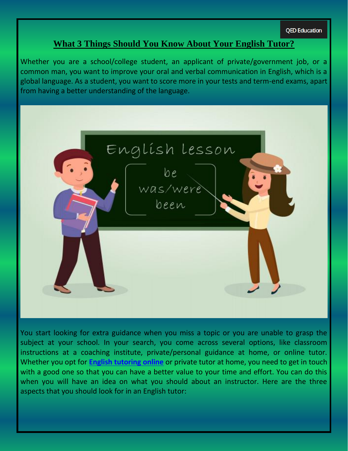**OED Education** 

# **What 3 Things Should You Know About Your English Tutor?**

Whether you are a school/college student, an applicant of private/government job, or a common man, you want to improve your oral and verbal communication in English, which is a global language. As a student, you want to score more in your tests and term-end exams, apart from having a better understanding of the language.



You start looking for extra guidance when you miss a topic or you are unable to grasp the subject at your school. In your search, you come across several options, like classroom instructions at a coaching institute, private/personal guidance at home, or online tutor. Whether you opt for **[English tutoring online](https://qededucation.com.au/)** or private tutor at home, you need to get in touch with a good one so that you can have a better value to your time and effort. You can do this when you will have an idea on what you should about an instructor. Here are the three aspects that you should look for in an English tutor: